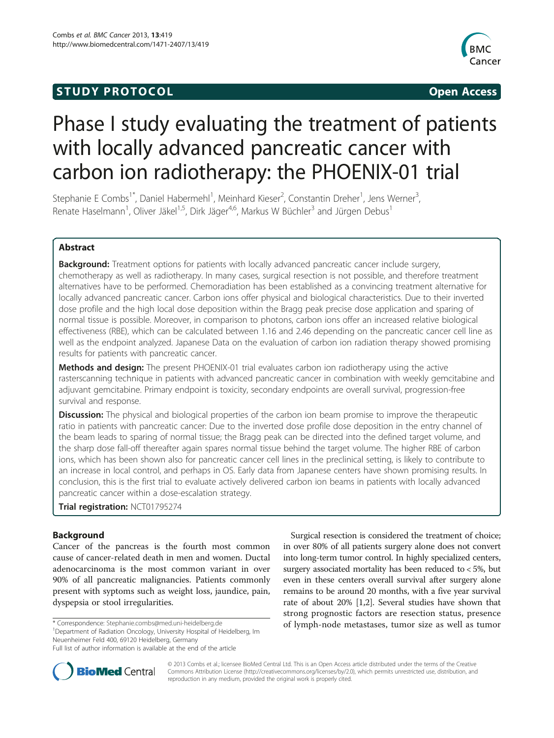## **STUDY PROTOCOL CONSUMING THE STUDY PROTOCOL**



# Phase I study evaluating the treatment of patients with locally advanced pancreatic cancer with carbon ion radiotherapy: the PHOENIX-01 trial

Stephanie E Combs<sup>1\*</sup>, Daniel Habermehl<sup>1</sup>, Meinhard Kieser<sup>2</sup>, Constantin Dreher<sup>1</sup>, Jens Werner<sup>3</sup> , Renate Haselmann<sup>1</sup>, Oliver Jäkel<sup>1,5</sup>, Dirk Jäger<sup>4,6</sup>, Markus W Büchler<sup>3</sup> and Jürgen Debus<sup>1</sup>

## Abstract

**Background:** Treatment options for patients with locally advanced pancreatic cancer include surgery, chemotherapy as well as radiotherapy. In many cases, surgical resection is not possible, and therefore treatment alternatives have to be performed. Chemoradiation has been established as a convincing treatment alternative for locally advanced pancreatic cancer. Carbon ions offer physical and biological characteristics. Due to their inverted dose profile and the high local dose deposition within the Bragg peak precise dose application and sparing of normal tissue is possible. Moreover, in comparison to photons, carbon ions offer an increased relative biological effectiveness (RBE), which can be calculated between 1.16 and 2.46 depending on the pancreatic cancer cell line as well as the endpoint analyzed. Japanese Data on the evaluation of carbon ion radiation therapy showed promising results for patients with pancreatic cancer.

**Methods and design:** The present PHOENIX-01 trial evaluates carbon ion radiotherapy using the active rasterscanning technique in patients with advanced pancreatic cancer in combination with weekly gemcitabine and adjuvant gemcitabine. Primary endpoint is toxicity, secondary endpoints are overall survival, progression-free survival and response.

**Discussion:** The physical and biological properties of the carbon ion beam promise to improve the therapeutic ratio in patients with pancreatic cancer: Due to the inverted dose profile dose deposition in the entry channel of the beam leads to sparing of normal tissue; the Bragg peak can be directed into the defined target volume, and the sharp dose fall-off thereafter again spares normal tissue behind the target volume. The higher RBE of carbon ions, which has been shown also for pancreatic cancer cell lines in the preclinical setting, is likely to contribute to an increase in local control, and perhaps in OS. Early data from Japanese centers have shown promising results. In conclusion, this is the first trial to evaluate actively delivered carbon ion beams in patients with locally advanced pancreatic cancer within a dose-escalation strategy.

Trial registration: [NCT01795274](http://www.clinicaltrials.gov/NCT01795274)

## Background

Cancer of the pancreas is the fourth most common cause of cancer-related death in men and women. Ductal adenocarcinoma is the most common variant in over 90% of all pancreatic malignancies. Patients commonly present with syptoms such as weight loss, jaundice, pain, dyspepsia or stool irregularities.

<sup>1</sup>Department of Radiation Oncology, University Hospital of Heidelberg, Im

Neuenheimer Feld 400, 69120 Heidelberg, Germany

Surgical resection is considered the treatment of choice; in over 80% of all patients surgery alone does not convert into long-term tumor control. In highly specialized centers, surgery associated mortality has been reduced to < 5%, but even in these centers overall survival after surgery alone remains to be around 20 months, with a five year survival rate of about 20% [[1,2\]](#page-6-0). Several studies have shown that strong prognostic factors are resection status, presence \* Correspondence: [Stephanie.combs@med.uni-heidelberg.de](mailto:Stephanie.combs@med.uni-heidelberg.de) **1988** of lymph-node metastases, tumor size as well as tumor



© 2013 Combs et al.; licensee BioMed Central Ltd. This is an Open Access article distributed under the terms of the Creative Commons Attribution License [\(http://creativecommons.org/licenses/by/2.0\)](http://creativecommons.org/licenses/by/2.0), which permits unrestricted use, distribution, and reproduction in any medium, provided the original work is properly cited.

Full list of author information is available at the end of the article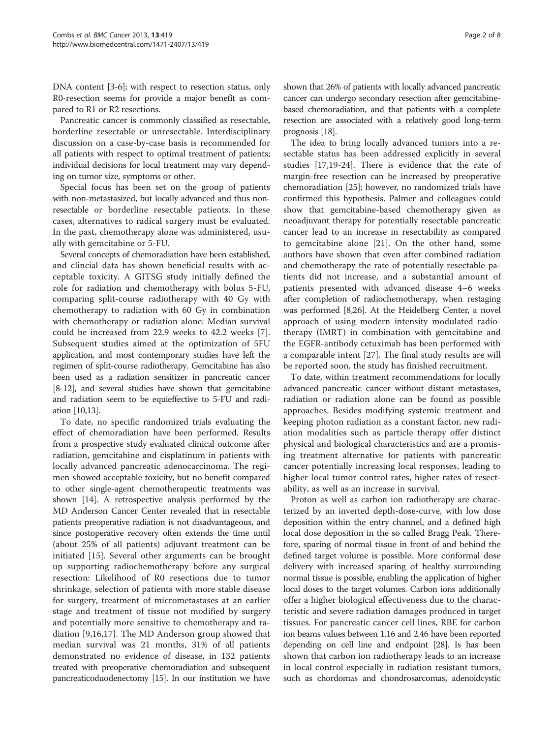DNA content [\[3](#page-6-0)-[6\]](#page-6-0); with respect to resection status, only R0-resection seems for provide a major benefit as compared to R1 or R2 resections.

Pancreatic cancer is commonly classified as resectable, borderline resectable or unresectable. Interdisciplinary discussion on a case-by-case basis is recommended for all patients with respect to optimal treatment of patients; individual decisions for local treatment may vary depending on tumor size, symptoms or other.

Special focus has been set on the group of patients with non-metastasized, but locally advanced and thus nonresectable or borderline resectable patients. In these cases, alternatives to radical surgery must be evaluated. In the past, chemotherapy alone was administered, usually with gemcitabine or 5-FU.

Several concepts of chemoradiation have been established, and clincial data has shown beneficial results with acceptable toxicity. A GITSG study initially defined the role for radiation and chemotherapy with bolus 5-FU, comparing split-course radiotherapy with 40 Gy with chemotherapy to radiation with 60 Gy in combination with chemotherapy or radiation alone: Median survival could be increased from 22.9 weeks to 42.2 weeks [\[7](#page-6-0)]. Subsequent studies aimed at the optimization of 5FU application, and most contemporary studies have left the regimen of split-course radiotherapy. Gemcitabine has also been used as a radiation sensitizer in pancreatic cancer [[8](#page-6-0)-[12](#page-6-0)], and several studies have shown that gemcitabine and radiation seem to be equieffective to 5-FU and radiation [\[10,13\]](#page-6-0).

To date, no specific randomized trials evaluating the effect of chemoradiation have been performed. Results from a prospective study evaluated clinical outcome after radiation, gemcitabine and cisplatinum in patients with locally advanced pancreatic adenocarcinoma. The regimen showed acceptable toxicity, but no benefit compared to other single-agent chemotherapeutic treatments was shown [\[14\]](#page-6-0). A retrospective analysis performed by the MD Anderson Cancer Center revealed that in resectable patients preoperative radiation is not disadvantageous, and since postoperative recovery often extends the time until (about 25% of all patients) adjuvant treatment can be initiated [\[15](#page-6-0)]. Several other arguments can be brought up supporting radiochemotherapy before any surgical resection: Likelihood of R0 resections due to tumor shrinkage, selection of patients with more stable disease for surgery, treatment of micrometastases at an earlier stage and treatment of tissue not modified by surgery and potentially more sensitive to chemotherapy and radiation [[9,16](#page-6-0),[17](#page-6-0)]. The MD Anderson group showed that median survival was 21 months, 31% of all patients demonstrated no evidence of disease, in 132 patients treated with preoperative chemoradiation and subsequent pancreaticoduodenectomy [\[15\]](#page-6-0). In our institution we have

shown that 26% of patients with locally advanced pancreatic cancer can undergo secondary resection after gemcitabinebased chemoradiation, and that patients with a complete resection are associated with a relatively good long-term prognosis [\[18](#page-6-0)].

The idea to bring locally advanced tumors into a resectable status has been addressed explicitly in several studies [[17](#page-6-0),[19](#page-6-0)-[24\]](#page-6-0). There is evidence that the rate of margin-free resection can be increased by preoperative chemoradiation [[25\]](#page-6-0); however, no randomized trials have confirmed this hypothesis. Palmer and colleagues could show that gemcitabine-based chemotherapy given as neoadjuvant therapy for potentially resectable pancreatic cancer lead to an increase in resectability as compared to gemcitabine alone [\[21](#page-6-0)]. On the other hand, some authors have shown that even after combined radiation and chemotherapy the rate of potentially resectable patients did not increase, and a substantial amount of patients presented with advanced disease 4–6 weeks after completion of radiochemotherapy, when restaging was performed [[8,26](#page-6-0)]. At the Heidelberg Center, a novel approach of using modern intensity modulated radiotherapy (IMRT) in combination with gemcitabine and the EGFR-antibody cetuximab has been performed with a comparable intent [[27](#page-6-0)]. The final study results are will be reported soon, the study has finished recruitment.

To date, within treatment recommendations for locally advanced pancreatic cancer without distant metastases, radiation or radiation alone can be found as possible approaches. Besides modifying systemic treatment and keeping photon radiation as a constant factor, new radiation modalities such as particle therapy offer distinct physical and biological characteristics and are a promising treatment alternative for patients with pancreatic cancer potentially increasing local responses, leading to higher local tumor control rates, higher rates of resectability, as well as an increase in survival.

Proton as well as carbon ion radiotherapy are characterized by an inverted depth-dose-curve, with low dose deposition within the entry channel, and a defined high local dose deposition in the so called Bragg Peak. Therefore, sparing of normal tissue in front of and behind the defined target volume is possible. More conformal dose delivery with increased sparing of healthy surrounding normal tissue is possible, enabling the application of higher local doses to the target volumes. Carbon ions additionally offer a higher biological effectiveness due to the characteristic and severe radiation damages produced in target tissues. For pancreatic cancer cell lines, RBE for carbon ion beams values between 1.16 and 2.46 have been reported depending on cell line and endpoint [\[28](#page-6-0)]. Is has been shown that carbon ion radiotherapy leads to an increase in local control especially in radiation resistant tumors, such as chordomas and chondrosarcomas, adenoidcystic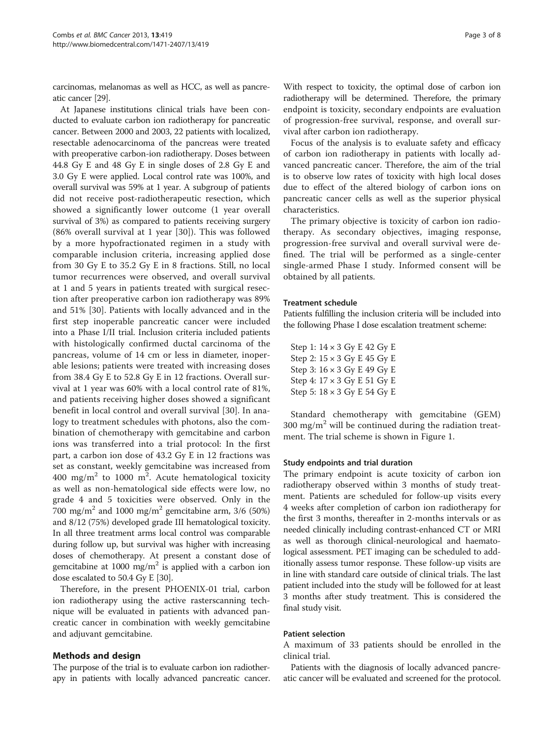carcinomas, melanomas as well as HCC, as well as pancreatic cancer [\[29\]](#page-6-0).

At Japanese institutions clinical trials have been conducted to evaluate carbon ion radiotherapy for pancreatic cancer. Between 2000 and 2003, 22 patients with localized, resectable adenocarcinoma of the pancreas were treated with preoperative carbon-ion radiotherapy. Doses between 44.8 Gy E and 48 Gy E in single doses of 2.8 Gy E and 3.0 Gy E were applied. Local control rate was 100%, and overall survival was 59% at 1 year. A subgroup of patients did not receive post-radiotherapeutic resection, which showed a significantly lower outcome (1 year overall survival of 3%) as compared to patients receiving surgery (86% overall survival at 1 year [[30\]](#page-6-0)). This was followed by a more hypofractionated regimen in a study with comparable inclusion criteria, increasing applied dose from 30 Gy E to 35.2 Gy E in 8 fractions. Still, no local tumor recurrences were observed, and overall survival at 1 and 5 years in patients treated with surgical resection after preoperative carbon ion radiotherapy was 89% and 51% [[30\]](#page-6-0). Patients with locally advanced and in the first step inoperable pancreatic cancer were included into a Phase I/II trial. Inclusion criteria included patients with histologically confirmed ductal carcinoma of the pancreas, volume of 14 cm or less in diameter, inoperable lesions; patients were treated with increasing doses from 38.4 Gy E to 52.8 Gy E in 12 fractions. Overall survival at 1 year was 60% with a local control rate of 81%, and patients receiving higher doses showed a significant benefit in local control and overall survival [\[30](#page-6-0)]. In analogy to treatment schedules with photons, also the combination of chemotherapy with gemcitabine and carbon ions was transferred into a trial protocol: In the first part, a carbon ion dose of 43.2 Gy E in 12 fractions was set as constant, weekly gemcitabine was increased from 400 mg/m<sup>2</sup> to 1000 m<sup>2</sup>. Acute hematological toxicity as well as non-hematological side effects were low, no grade 4 and 5 toxicities were observed. Only in the 700 mg/m<sup>2</sup> and 1000 mg/m<sup>2</sup> gemcitabine arm, 3/6 (50%) and 8/12 (75%) developed grade III hematological toxicity. In all three treatment arms local control was comparable during follow up, but survival was higher with increasing doses of chemotherapy. At present a constant dose of gemcitabine at 1000 mg/m<sup>2</sup> is applied with a carbon ion dose escalated to 50.4 Gy E [\[30\]](#page-6-0).

Therefore, in the present PHOENIX-01 trial, carbon ion radiotherapy using the active rasterscanning technique will be evaluated in patients with advanced pancreatic cancer in combination with weekly gemcitabine and adjuvant gemcitabine.

## Methods and design

The purpose of the trial is to evaluate carbon ion radiotherapy in patients with locally advanced pancreatic cancer.

With respect to toxicity, the optimal dose of carbon ion radiotherapy will be determined. Therefore, the primary endpoint is toxicity, secondary endpoints are evaluation of progression-free survival, response, and overall survival after carbon ion radiotherapy.

Focus of the analysis is to evaluate safety and efficacy of carbon ion radiotherapy in patients with locally advanced pancreatic cancer. Therefore, the aim of the trial is to observe low rates of toxicity with high local doses due to effect of the altered biology of carbon ions on pancreatic cancer cells as well as the superior physical characteristics.

The primary objective is toxicity of carbon ion radiotherapy. As secondary objectives, imaging response, progression-free survival and overall survival were defined. The trial will be performed as a single-center single-armed Phase I study. Informed consent will be obtained by all patients.

## Treatment schedule

Patients fulfilling the inclusion criteria will be included into the following Phase I dose escalation treatment scheme:

| Step 1: 14 × 3 Gy E 42 Gy E        |  |  |  |  |
|------------------------------------|--|--|--|--|
| Step 2: $15 \times 3$ Gy E 45 Gy E |  |  |  |  |
| Step 3: 16 × 3 Gy E 49 Gy E        |  |  |  |  |
| Step 4: 17 × 3 Gy E 51 Gy E        |  |  |  |  |
| Step 5: 18 × 3 Gy E 54 Gy E        |  |  |  |  |

Standard chemotherapy with gemcitabine (GEM) 300 mg/m<sup>2</sup> will be continued during the radiation treatment. The trial scheme is shown in Figure [1.](#page-3-0)

## Study endpoints and trial duration

The primary endpoint is acute toxicity of carbon ion radiotherapy observed within 3 months of study treatment. Patients are scheduled for follow-up visits every 4 weeks after completion of carbon ion radiotherapy for the first 3 months, thereafter in 2-months intervals or as needed clinically including contrast-enhanced CT or MRI as well as thorough clinical-neurological and haematological assessment. PET imaging can be scheduled to additionally assess tumor response. These follow-up visits are in line with standard care outside of clinical trials. The last patient included into the study will be followed for at least 3 months after study treatment. This is considered the final study visit.

#### Patient selection

A maximum of 33 patients should be enrolled in the clinical trial.

Patients with the diagnosis of locally advanced pancreatic cancer will be evaluated and screened for the protocol.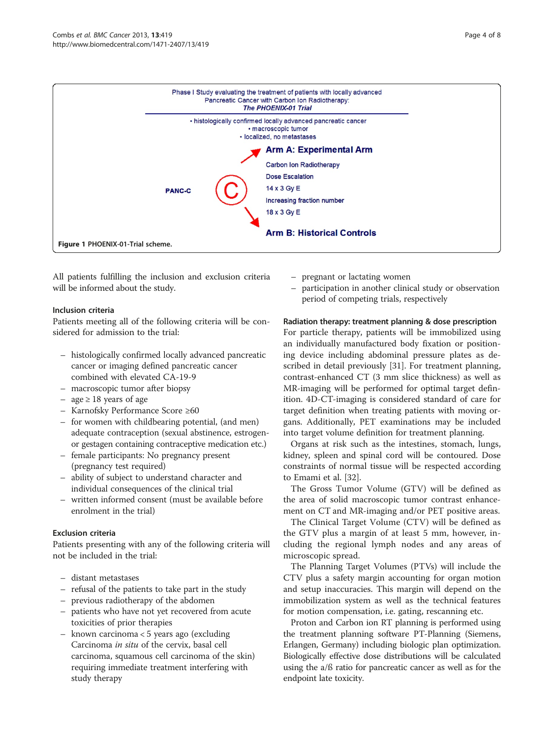

<span id="page-3-0"></span>

All patients fulfilling the inclusion and exclusion criteria will be informed about the study.

## Inclusion criteria

Patients meeting all of the following criteria will be considered for admission to the trial:

- histologically confirmed locally advanced pancreatic cancer or imaging defined pancreatic cancer combined with elevated CA-19-9
- macroscopic tumor after biopsy
- age ≥ 18 years of age
- Karnofsky Performance Score ≥60
- for women with childbearing potential, (and men) adequate contraception (sexual abstinence, estrogenor gestagen containing contraceptive medication etc.)
- female participants: No pregnancy present (pregnancy test required)
- ability of subject to understand character and individual consequences of the clinical trial
- written informed consent (must be available before enrolment in the trial)

## Exclusion criteria

Patients presenting with any of the following criteria will not be included in the trial:

- distant metastases
- refusal of the patients to take part in the study
- previous radiotherapy of the abdomen
- patients who have not yet recovered from acute toxicities of prior therapies
- known carcinoma < 5 years ago (excluding Carcinoma in situ of the cervix, basal cell carcinoma, squamous cell carcinoma of the skin) requiring immediate treatment interfering with study therapy
- pregnant or lactating women
- participation in another clinical study or observation period of competing trials, respectively

## Radiation therapy: treatment planning & dose prescription

For particle therapy, patients will be immobilized using an individually manufactured body fixation or positioning device including abdominal pressure plates as described in detail previously [[31\]](#page-6-0). For treatment planning, contrast-enhanced CT (3 mm slice thickness) as well as MR-imaging will be performed for optimal target definition. 4D-CT-imaging is considered standard of care for target definition when treating patients with moving organs. Additionally, PET examinations may be included into target volume definition for treatment planning.

Organs at risk such as the intestines, stomach, lungs, kidney, spleen and spinal cord will be contoured. Dose constraints of normal tissue will be respected according to Emami et al. [\[32](#page-6-0)].

The Gross Tumor Volume (GTV) will be defined as the area of solid macroscopic tumor contrast enhancement on CT and MR-imaging and/or PET positive areas.

The Clinical Target Volume (CTV) will be defined as the GTV plus a margin of at least 5 mm, however, including the regional lymph nodes and any areas of microscopic spread.

The Planning Target Volumes (PTVs) will include the CTV plus a safety margin accounting for organ motion and setup inaccuracies. This margin will depend on the immobilization system as well as the technical features for motion compensation, i.e. gating, rescanning etc.

Proton and Carbon ion RT planning is performed using the treatment planning software PT-Planning (Siemens, Erlangen, Germany) including biologic plan optimization. Biologically effective dose distributions will be calculated using the a/ß ratio for pancreatic cancer as well as for the endpoint late toxicity.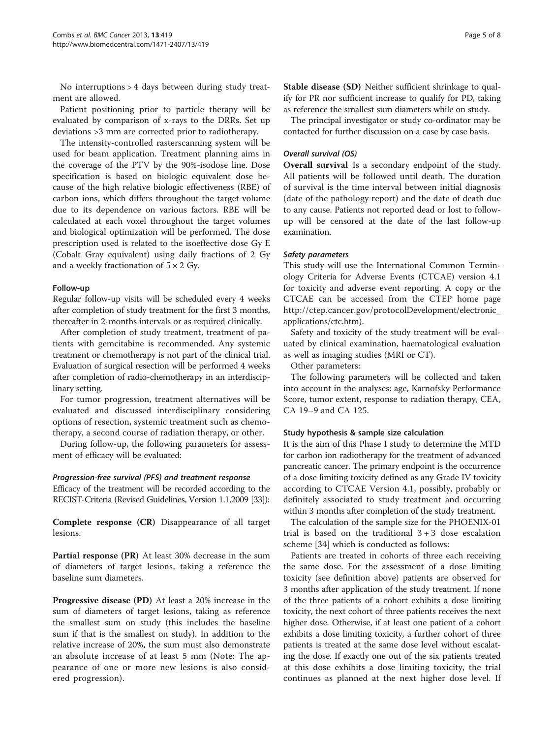No interruptions > 4 days between during study treatment are allowed.

Patient positioning prior to particle therapy will be evaluated by comparison of x-rays to the DRRs. Set up deviations >3 mm are corrected prior to radiotherapy.

The intensity-controlled rasterscanning system will be used for beam application. Treatment planning aims in the coverage of the PTV by the 90%-isodose line. Dose specification is based on biologic equivalent dose because of the high relative biologic effectiveness (RBE) of carbon ions, which differs throughout the target volume due to its dependence on various factors. RBE will be calculated at each voxel throughout the target volumes and biological optimization will be performed. The dose prescription used is related to the isoeffective dose Gy E (Cobalt Gray equivalent) using daily fractions of 2 Gy and a weekly fractionation of  $5 \times 2$  Gy.

## Follow-up

Regular follow-up visits will be scheduled every 4 weeks after completion of study treatment for the first 3 months, thereafter in 2-months intervals or as required clinically.

After completion of study treatment, treatment of patients with gemcitabine is recommended. Any systemic treatment or chemotherapy is not part of the clinical trial. Evaluation of surgical resection will be performed 4 weeks after completion of radio-chemotherapy in an interdisciplinary setting.

For tumor progression, treatment alternatives will be evaluated and discussed interdisciplinary considering options of resection, systemic treatment such as chemotherapy, a second course of radiation therapy, or other.

During follow-up, the following parameters for assessment of efficacy will be evaluated:

## Progression-free survival (PFS) and treatment response

Efficacy of the treatment will be recorded according to the RECIST-Criteria (Revised Guidelines, Version 1.1,2009 [[33\]](#page-6-0)):

Complete response (CR) Disappearance of all target lesions.

Partial response (PR) At least 30% decrease in the sum of diameters of target lesions, taking a reference the baseline sum diameters.

Progressive disease (PD) At least a 20% increase in the sum of diameters of target lesions, taking as reference the smallest sum on study (this includes the baseline sum if that is the smallest on study). In addition to the relative increase of 20%, the sum must also demonstrate an absolute increase of at least 5 mm (Note: The appearance of one or more new lesions is also considered progression).

Stable disease (SD) Neither sufficient shrinkage to qualify for PR nor sufficient increase to qualify for PD, taking as reference the smallest sum diameters while on study.

The principal investigator or study co-ordinator may be contacted for further discussion on a case by case basis.

## Overall survival (OS)

Overall survival Is a secondary endpoint of the study. All patients will be followed until death. The duration of survival is the time interval between initial diagnosis (date of the pathology report) and the date of death due to any cause. Patients not reported dead or lost to followup will be censored at the date of the last follow-up examination.

#### Safety parameters

This study will use the International Common Terminology Criteria for Adverse Events (CTCAE) version 4.1 for toxicity and adverse event reporting. A copy or the CTCAE can be accessed from the CTEP home page [http://ctep.cancer.gov/protocolDevelopment/electronic\\_](http://ctep.cancer.gov/protocolDevelopment/electronic_applications/ctc.htm) [applications/ctc.htm](http://ctep.cancer.gov/protocolDevelopment/electronic_applications/ctc.htm)).

Safety and toxicity of the study treatment will be evaluated by clinical examination, haematological evaluation as well as imaging studies (MRI or CT).

Other parameters:

The following parameters will be collected and taken into account in the analyses: age, Karnofsky Performance Score, tumor extent, response to radiation therapy, CEA, CA 19–9 and CA 125.

## Study hypothesis & sample size calculation

It is the aim of this Phase I study to determine the MTD for carbon ion radiotherapy for the treatment of advanced pancreatic cancer. The primary endpoint is the occurrence of a dose limiting toxicity defined as any Grade IV toxicity according to CTCAE Version 4.1, possibly, probably or definitely associated to study treatment and occurring within 3 months after completion of the study treatment.

The calculation of the sample size for the PHOENIX-01 trial is based on the traditional  $3 + 3$  dose escalation scheme [[34\]](#page-6-0) which is conducted as follows:

Patients are treated in cohorts of three each receiving the same dose. For the assessment of a dose limiting toxicity (see definition above) patients are observed for 3 months after application of the study treatment. If none of the three patients of a cohort exhibits a dose limiting toxicity, the next cohort of three patients receives the next higher dose. Otherwise, if at least one patient of a cohort exhibits a dose limiting toxicity, a further cohort of three patients is treated at the same dose level without escalating the dose. If exactly one out of the six patients treated at this dose exhibits a dose limiting toxicity, the trial continues as planned at the next higher dose level. If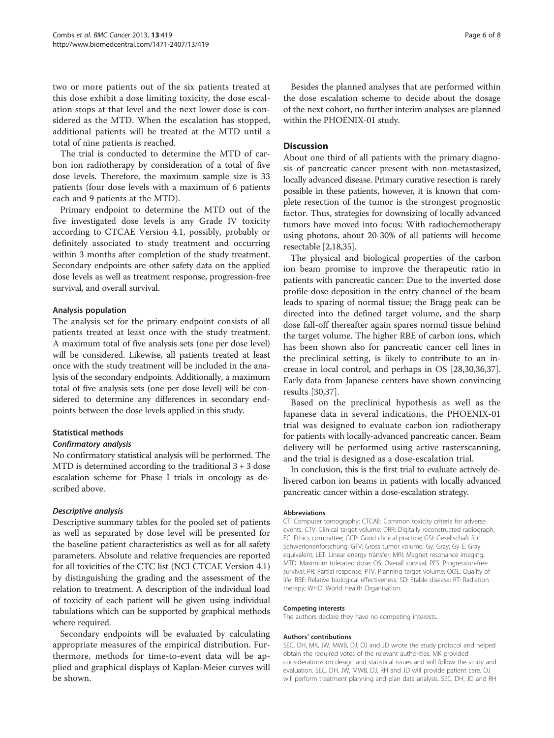two or more patients out of the six patients treated at this dose exhibit a dose limiting toxicity, the dose escalation stops at that level and the next lower dose is considered as the MTD. When the escalation has stopped, additional patients will be treated at the MTD until a total of nine patients is reached.

The trial is conducted to determine the MTD of carbon ion radiotherapy by consideration of a total of five dose levels. Therefore, the maximum sample size is 33 patients (four dose levels with a maximum of 6 patients each and 9 patients at the MTD).

Primary endpoint to determine the MTD out of the five investigated dose levels is any Grade IV toxicity according to CTCAE Version 4.1, possibly, probably or definitely associated to study treatment and occurring within 3 months after completion of the study treatment. Secondary endpoints are other safety data on the applied dose levels as well as treatment response, progression-free survival, and overall survival.

## Analysis population

The analysis set for the primary endpoint consists of all patients treated at least once with the study treatment. A maximum total of five analysis sets (one per dose level) will be considered. Likewise, all patients treated at least once with the study treatment will be included in the analysis of the secondary endpoints. Additionally, a maximum total of five analysis sets (one per dose level) will be considered to determine any differences in secondary endpoints between the dose levels applied in this study.

## Statistical methods

## Confirmatory analysis

No confirmatory statistical analysis will be performed. The MTD is determined according to the traditional 3 + 3 dose escalation scheme for Phase I trials in oncology as described above.

## Descriptive analysis

Descriptive summary tables for the pooled set of patients as well as separated by dose level will be presented for the baseline patient characteristics as well as for all safety parameters. Absolute and relative frequencies are reported for all toxicities of the CTC list (NCI CTCAE Version 4.1) by distinguishing the grading and the assessment of the relation to treatment. A description of the individual load of toxicity of each patient will be given using individual tabulations which can be supported by graphical methods where required.

Secondary endpoints will be evaluated by calculating appropriate measures of the empirical distribution. Furthermore, methods for time-to-event data will be applied and graphical displays of Kaplan-Meier curves will be shown.

Besides the planned analyses that are performed within the dose escalation scheme to decide about the dosage of the next cohort, no further interim analyses are planned within the PHOENIX-01 study.

## Discussion

About one third of all patients with the primary diagnosis of pancreatic cancer present with non-metastasized, locally advanced disease. Primary curative resection is rarely possible in these patients, however, it is known that complete resection of the tumor is the strongest prognostic factor. Thus, strategies for downsizing of locally advanced tumors have moved into focus: With radiochemotherapy using photons, about 20-30% of all patients will become resectable [\[2,18](#page-6-0),[35](#page-7-0)].

The physical and biological properties of the carbon ion beam promise to improve the therapeutic ratio in patients with pancreatic cancer: Due to the inverted dose profile dose deposition in the entry channel of the beam leads to sparing of normal tissue; the Bragg peak can be directed into the defined target volume, and the sharp dose fall-off thereafter again spares normal tissue behind the target volume. The higher RBE of carbon ions, which has been shown also for pancreatic cancer cell lines in the preclinical setting, is likely to contribute to an increase in local control, and perhaps in OS [[28](#page-6-0),[30](#page-6-0)[,36,37](#page-7-0)]. Early data from Japanese centers have shown convincing results [[30](#page-6-0),[37](#page-7-0)].

Based on the preclinical hypothesis as well as the Japanese data in several indications, the PHOENIX-01 trial was designed to evaluate carbon ion radiotherapy for patients with locally-advanced pancreatic cancer. Beam delivery will be performed using active rasterscanning, and the trial is designed as a dose-escalation trial.

In conclusion, this is the first trial to evaluate actively delivered carbon ion beams in patients with locally advanced pancreatic cancer within a dose-escalation strategy.

#### Abbreviations

CT: Computer tomography; CTCAE: Common toxicity criteria for adverse events; CTV: Clinical target volume; DRR: Digitally reconstructed radiograph; EC: Ethics committee; GCP: Good clinical practice; GSI: Gesellschaft für Schwerionenforschung; GTV: Gross tumor volume; Gy: Gray; Gy E: Gray equivalent; LET: Linear energy transfer; MRI: Magnet resonance imaging; MTD: Maximum tolerated dose; OS: Overall survival; PFS: Progression-free survival; PR: Partial response; PTV: Planning target volume; QOL: Quality of life; RBE: Relative biological effectiveness; SD: Stable disease; RT: Radiation therapy; WHO: World Health Organisation.

#### Competing interests

The authors declare they have no competing interests.

#### Authors' contributions

SEC, DH, MK, JW, MWB, DJ, OJ and JD wrote the study protocol and helped obtain the required votes of the relevant authorities. MK provided considerations on design and statistical issues and will follow the study and evaluation. SEC, DH, JW, MWB, DJ, RH and JD will provide patient care. OJ will perform treatment planning and plan data analysis. SEC, DH, JD and RH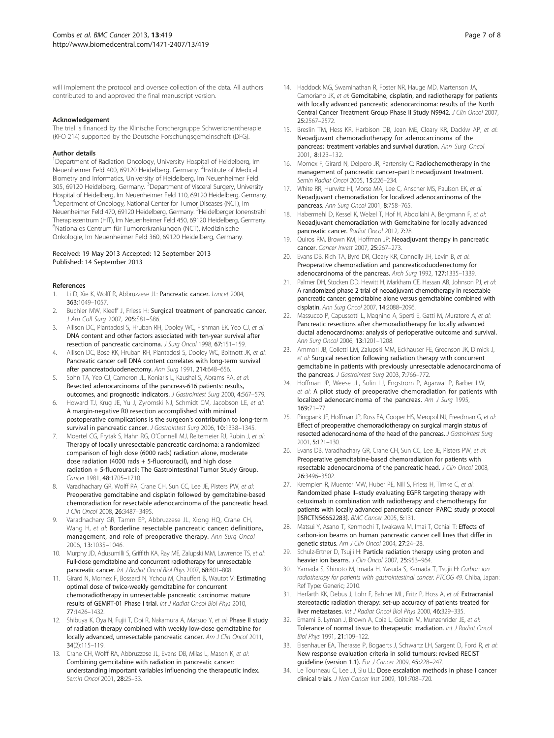<span id="page-6-0"></span>will implement the protocol and oversee collection of the data. All authors contributed to and approved the final manuscript version.

#### Acknowledgement

The trial is financed by the Klinische Forschergruppe Schwerionentherapie (KFO 214) supported by the Deutsche Forschungsgemeinschaft (DFG).

#### Author details

<sup>1</sup>Department of Radiation Oncology, University Hospital of Heidelberg, Im Neuenheimer Feld 400, 69120 Heidelberg, Germany. <sup>2</sup>Institute of Medical Biometry and Informatics, University of Heidelberg, Im Neuenheimer Feld 305, 69120 Heidelberg, Germany. <sup>3</sup>Department of Visceral Surgery, University Hospital of Heidelberg, Im Neuenheimer Feld 110, 69120 Heidelberg, Germany. 4 Department of Oncology, National Center for Tumor Diseases (NCT), Im Neuenheimer Feld 470, 69120 Heidelberg, Germany. <sup>5</sup>Heidelberger Ionenstrahl Therapiezentrum (HIT), Im Neuenheimer Feld 450, 69120 Heidelberg, Germany. 6 Nationales Centrum für Tumorerkrankungen (NCT), Medizinische Onkologie, Im Neuenheimer Feld 360, 69120 Heidelberg, Germany.

#### Received: 19 May 2013 Accepted: 12 September 2013 Published: 14 September 2013

#### References

- Li D, Xie K, Wolff R, Abbruzzese JL: Pancreatic cancer. Lancet 2004, 363:1049–1057.
- 2. Buchler MW, Kleeff J, Friess H: Surgical treatment of pancreatic cancer. J Am Coll Surg 2007, 205:S81–S86.
- 3. Allison DC, Piantadosi S, Hruban RH, Dooley WC, Fishman EK, Yeo CJ, et al: DNA content and other factors associated with ten-year survival after resection of pancreatic carcinoma. J Surg Oncol 1998, 67:151–159.
- 4. Allison DC, Bose KK, Hruban RH, Piantadosi S, Dooley WC, Boitnott JK, et al: Pancreatic cancer cell DNA content correlates with long-term survival after pancreatoduodenectomy. Ann Surg 1991, 214:648–656.
- 5. Sohn TA, Yeo CJ, Cameron JL, Koniaris L, Kaushal S, Abrams RA, et al: Resected adenocarcinoma of the pancreas-616 patients: results, outcomes, and prognostic indicators. J Gastrointest Surg 2000, 4:567–579.
- Howard TJ, Krug JE, Yu J, Zyromski NJ, Schmidt CM, Jacobson LE, et al: A margin-negative R0 resection accomplished with minimal postoperative complications is the surgeon's contribution to long-term survival in pancreatic cancer. J Gastrointest Surg 2006, 10:1338-1345
- 7. Moertel CG, Frytak S, Hahn RG, O'Connell MJ, Reitemeier RJ, Rubin J, et al: Therapy of locally unresectable pancreatic carcinoma: a randomized comparison of high dose (6000 rads) radiation alone, moderate dose radiation (4000 rads + 5-fluorouracil), and high dose radiation + 5-fluorouracil: The Gastrointestinal Tumor Study Group. Cancer 1981, 48:1705–1710.
- Varadhachary GR, Wolff RA, Crane CH, Sun CC, Lee JE, Pisters PW, et al: Preoperative gemcitabine and cisplatin followed by gemcitabine-based chemoradiation for resectable adenocarcinoma of the pancreatic head. J Clin Oncol 2008, 26:3487–3495.
- Varadhachary GR, Tamm EP, Abbruzzese JL, Xiong HQ, Crane CH, Wang H, et al: Borderline resectable pancreatic cancer: definitions, management, and role of preoperative therapy. Ann Surg Oncol 2006, 13:1035–1046.
- 10. Murphy JD, Adusumilli S, Griffith KA, Ray ME, Zalupski MM, Lawrence TS, et al: Full-dose gemcitabine and concurrent radiotherapy for unresectable pancreatic cancer. Int J Radiat Oncol Biol Phys 2007, 68:801-808.
- 11. Girard N, Mornex F, Bossard N, Ychou M, Chauffert B, Wautot V: Estimating optimal dose of twice-weekly gemcitabine for concurrent chemoradiotherapy in unresectable pancreatic carcinoma: mature results of GEMRT-01 Phase I trial. Int J Radiat Oncol Biol Phys 2010, 77:1426–1432.
- 12. Shibuya K, Oya N, Fujii T, Doi R, Nakamura A, Matsuo Y, et al: Phase II study of radiation therapy combined with weekly low-dose gemcitabine for locally advanced, unresectable pancreatic cancer. Am J Clin Oncol 2011, 34(2):115–119.
- 13. Crane CH, Wolff RA, Abbruzzese JL, Evans DB, Milas L, Mason K, et al: Combining gemcitabine with radiation in pancreatic cancer: understanding important variables influencing the therapeutic index. Semin Oncol 2001, 28:25–33.
- 14. Haddock MG, Swaminathan R, Foster NR, Hauge MD, Martenson JA, Camoriano JK, et al: Gemcitabine, cisplatin, and radiotherapy for patients with locally advanced pancreatic adenocarcinoma: results of the North Central Cancer Treatment Group Phase II Study N9942. J Clin Oncol 2007, 25:2567–2572.
- 15. Breslin TM, Hess KR, Harbison DB, Jean ME, Cleary KR, Dackiw AP, et al: Neoadjuvant chemoradiotherapy for adenocarcinoma of the pancreas: treatment variables and survival duration. Ann Surg Oncol 2001, 8:123–132.
- 16. Mornex F, Girard N, Delpero JR, Partensky C: Radiochemotherapy in the management of pancreatic cancer–part I: neoadjuvant treatment. Semin Radiat Oncol 2005, 15:226–234.
- 17. White RR, Hurwitz HI, Morse MA, Lee C, Anscher MS, Paulson EK, et al: Neoadjuvant chemoradiation for localized adenocarcinoma of the pancreas. Ann Surg Oncol 2001, 8:758–765.
- 18. Habermehl D, Kessel K, Welzel T, Hof H, Abdollahi A, Bergmann F, et al: Neoadjuvant chemoradiation with Gemcitabine for locally advanced pancreatic cancer. Radiat Oncol 2012, 7:28
- 19. Quiros RM, Brown KM, Hoffman JP: Neoadjuvant therapy in pancreatic cancer. Cancer Invest 2007, 25:267–273.
- 20. Evans DB, Rich TA, Byrd DR, Cleary KR, Connelly JH, Levin B, et al: Preoperative chemoradiation and pancreaticoduodenectomy for adenocarcinoma of the pancreas. Arch Surg 1992, 127:1335–1339.
- 21. Palmer DH, Stocken DD, Hewitt H, Markham CE, Hassan AB, Johnson PJ, et al: A randomized phase 2 trial of neoadjuvant chemotherapy in resectable pancreatic cancer: gemcitabine alone versus gemcitabine combined with cisplatin. Ann Surg Oncol 2007, 14:2088–2096.
- 22. Massucco P, Capussotti L, Magnino A, Sperti E, Gatti M, Muratore A, et al: Pancreatic resections after chemoradiotherapy for locally advanced ductal adenocarcinoma: analysis of perioperative outcome and survival. Ann Surg Oncol 2006, 13:1201–1208.
- 23. Ammori JB, Colletti LM, Zalupski MM, Eckhauser FE, Greenson JK, Dimick J, et al: Surgical resection following radiation therapy with concurrent gemcitabine in patients with previously unresectable adenocarcinoma of the pancreas. J Gastrointest Surg 2003, 7:766-772.
- 24. Hoffman JP, Weese JL, Solin LJ, Engstrom P, Agarwal P, Barber LW, et al: A pilot study of preoperative chemoradiation for patients with localized adenocarcinoma of the pancreas. Am J Surg 1995, 169:71–77.
- 25. Pingpank JF, Hoffman JP, Ross EA, Cooper HS, Meropol NJ, Freedman G, et al: Effect of preoperative chemoradiotherapy on surgical margin status of resected adenocarcinoma of the head of the pancreas. J Gastrointest Surg 2001, 5:121–130.
- 26. Evans DB, Varadhachary GR, Crane CH, Sun CC, Lee JE, Pisters PW, et al: Preoperative gemcitabine-based chemoradiation for patients with resectable adenocarcinoma of the pancreatic head. J Clin Oncol 2008, 26:3496–3502.
- 27. Krempien R, Muenter MW, Huber PE, Nill S, Friess H, Timke C, et al: Randomized phase II–study evaluating EGFR targeting therapy with cetuximab in combination with radiotherapy and chemotherapy for patients with locally advanced pancreatic cancer–PARC: study protocol [ISRCTN56652283]. BMC Cancer 2005, 5:131.
- 28. Matsui Y, Asano T, Kenmochi T, Iwakawa M, Imai T, Ochiai T: Effects of carbon-ion beams on human pancreatic cancer cell lines that differ in genetic status. Am J Clin Oncol 2004, 27:24-28.
- 29. Schulz-Ertner D, Tsujii H: Particle radiation therapy using proton and heavier ion beams. J Clin Oncol 2007, 25:953-964.
- 30. Yamada S, Shinoto M, Imada H, Yasuda S, Kamada T, Tsujii H: Carbon ion radiotherapy for patients with gastrointestinal cancer. PTCOG 49. Chiba, Japan: Ref Type: Generic; 2010.
- 31. Herfarth KK, Debus J, Lohr F, Bahner ML, Fritz P, Hoss A, et al: Extracranial stereotactic radiation therapy: set-up accuracy of patients treated for liver metastases. Int J Radiat Oncol Biol Phys 2000, 46:329-335.
- 32. Emami B, Lyman J, Brown A, Coia L, Goitein M, Munzenrider JE, et al: Tolerance of normal tissue to therapeutic irradiation. Int J Radiat Oncol Biol Phys 1991, 21:109–122.
- 33. Eisenhauer EA, Therasse P, Bogaerts J, Schwartz LH, Sargent D, Ford R, et al: New response evaluation criteria in solid tumours: revised RECIST guideline (version 1.1). Eur J Cancer 2009, 45:228–247.
- 34. Le Tourneau C, Lee JJ, Siu LL: Dose escalation methods in phase I cancer clinical trials. J Natl Cancer Inst 2009, 101:708–720.